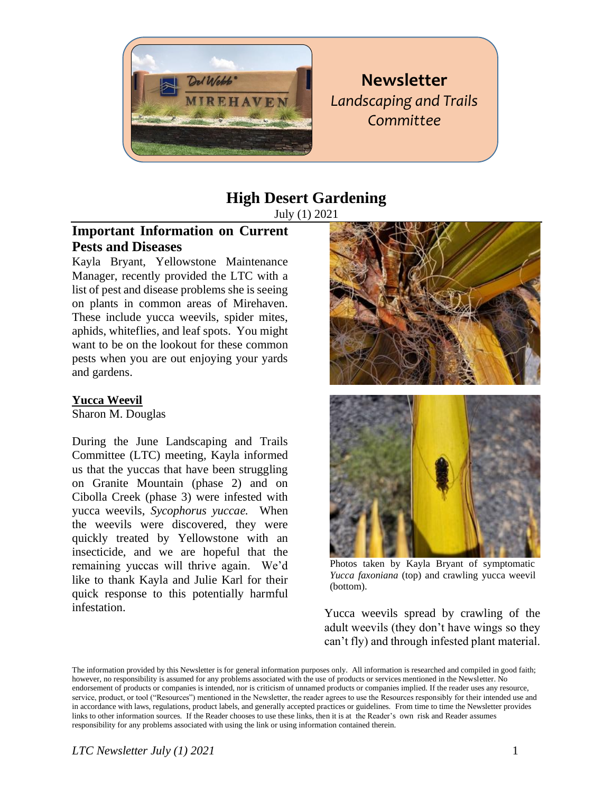

**Newsletter** *Landscaping and Trails Committee* 

# **High Desert Gardening**

July (1) 2021

# **Important Information on Current Pests and Diseases**

Kayla Bryant, Yellowstone Maintenance Manager, recently provided the LTC with a list of pest and disease problems she is seeing on plants in common areas of Mirehaven. These include yucca weevils, spider mites, aphids, whiteflies, and leaf spots. You might want to be on the lookout for these common pests when you are out enjoying your yards and gardens.

#### **Yucca Weevil**

Sharon M. Douglas

During the June Landscaping and Trails Committee (LTC) meeting, Kayla informed us that the yuccas that have been struggling on Granite Mountain (phase 2) and on Cibolla Creek (phase 3) were infested with yucca weevils, *Sycophorus yuccae.* When the weevils were discovered, they were quickly treated by Yellowstone with an insecticide, and we are hopeful that the remaining yuccas will thrive again. We'd like to thank Kayla and Julie Karl for their quick response to this potentially harmful infestation.





Photos taken by Kayla Bryant of symptomatic *Yucca faxoniana* (top) and crawling yucca weevil (bottom).

Yucca weevils spread by crawling of the adult weevils (they don't have wings so they can't fly) and through infested plant material.

The information provided by this Newsletter is for general information purposes only. All information is researched and compiled in good faith; however, no responsibility is assumed for any problems associated with the use of products or services mentioned in the Newsletter. No endorsement of products or companies is intended, nor is criticism of unnamed products or companies implied. If the reader uses any resource, service, product, or tool ("Resources") mentioned in the Newsletter, the reader agrees to use the Resources responsibly for their intended use and in accordance with laws, regulations, product labels, and generally accepted practices or guidelines. From time to time the Newsletter provides links to other information sources. If the Reader chooses to use these links, then it is at the Reader's own risk and Reader assumes responsibility for any problems associated with using the link or using information contained therein.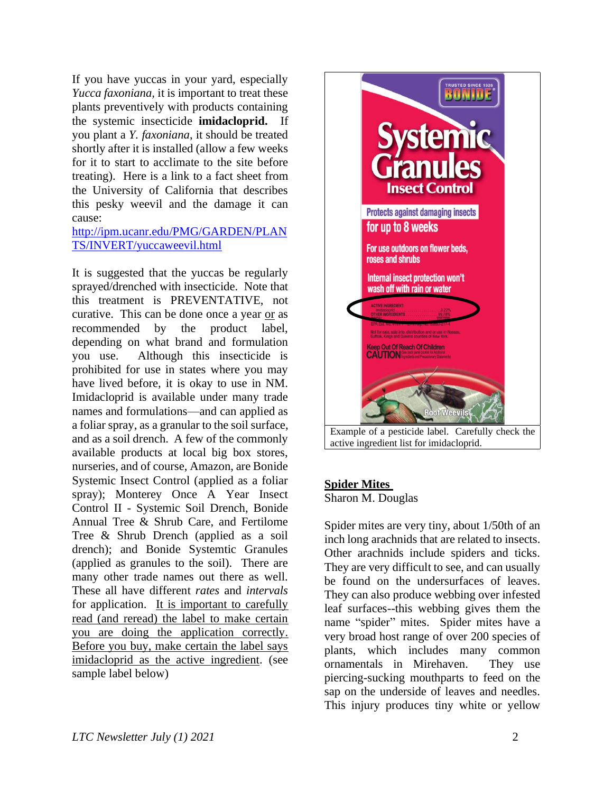If you have yuccas in your yard, especially *Yucca faxoniana,* it is important to treat these plants preventively with products containing the systemic insecticide **imidacloprid.** If you plant a *Y. faxoniana*, it should be treated shortly after it is installed (allow a few weeks for it to start to acclimate to the site before treating). Here is a link to a fact sheet from the University of California that describes this pesky weevil and the damage it can cause:

[http://ipm.ucanr.edu/PMG/GARDEN/PLAN](http://ipm.ucanr.edu/PMG/GARDEN/PLANTS/INVERT/yuccaweevil.html) [TS/INVERT/yuccaweevil.html](http://ipm.ucanr.edu/PMG/GARDEN/PLANTS/INVERT/yuccaweevil.html)

It is suggested that the yuccas be regularly sprayed/drenched with insecticide. Note that this treatment is PREVENTATIVE, not curative.This can be done once a year or as recommended by the product label, depending on what brand and formulation you use. Although this insecticide is prohibited for use in states where you may have lived before, it is okay to use in NM. Imidacloprid is available under many trade names and formulations—and can applied as a foliar spray, as a granular to the soil surface, and as a soil drench. A few of the commonly available products at local big box stores, nurseries, and of course, Amazon, are Bonide Systemic Insect Control (applied as a foliar spray); Monterey Once A Year Insect Control II - Systemic Soil Drench, Bonide Annual Tree & Shrub Care, and Fertilome Tree & Shrub Drench (applied as a soil drench); and Bonide Systemtic Granules (applied as granules to the soil). There are many other trade names out there as well. These all have different *rates* and *intervals* for application. It is important to carefully read (and reread) the label to make certain you are doing the application correctly. Before you buy, make certain the label says imidacloprid as the active ingredient. (see sample label below)



active ingredient list for imidacloprid.

#### **Spider Mites**

Sharon M. Douglas

Spider mites are very tiny, about 1/50th of an inch long arachnids that are related to insects. Other arachnids include spiders and ticks. They are very difficult to see, and can usually be found on the undersurfaces of leaves. They can also produce webbing over infested leaf surfaces--this webbing gives them the name "spider" mites. Spider mites have a very broad host range of over 200 species of plants, which includes many common ornamentals in Mirehaven. They use piercing-sucking mouthparts to feed on the sap on the underside of leaves and needles. This injury produces tiny white or yellow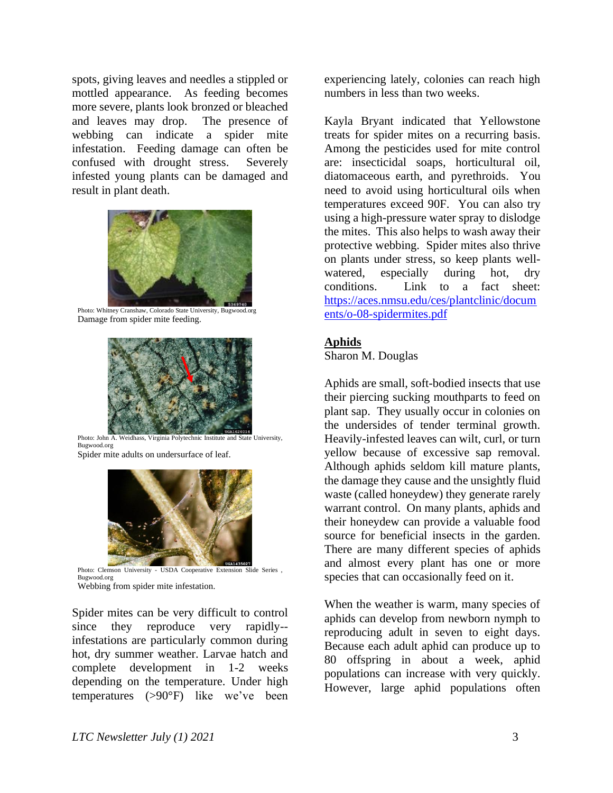spots, giving leaves and needles a stippled or mottled appearance. As feeding becomes more severe, plants look bronzed or bleached and leaves may drop. The presence of webbing can indicate a spider mite infestation. Feeding damage can often be confused with drought stress. Severely infested young plants can be damaged and result in plant death.



Photo: Whitney Cranshaw, Colorado State University, Bugwood.org Damage from spider mite feeding.



Photo: John A. Weidhass, Virginia Polytechnic Institute and State University, Bugwood.org Spider mite adults on undersurface of leaf.



Photo: Clemson University - USDA Cooperative Extension Slide Series , Bugwood.org

Webbing from spider mite infestation.

Spider mites can be very difficult to control since they reproduce very rapidly- infestations are particularly common during hot, dry summer weather. Larvae hatch and complete development in 1-2 weeks depending on the temperature. Under high temperatures (>90°F) like we've been

experiencing lately, colonies can reach high numbers in less than two weeks.

Kayla Bryant indicated that Yellowstone treats for spider mites on a recurring basis. Among the pesticides used for mite control are: insecticidal soaps, horticultural oil, diatomaceous earth, and pyrethroids. You need to avoid using horticultural oils when temperatures exceed 90F. You can also try using a high-pressure water spray to dislodge the mites. This also helps to wash away their protective webbing. Spider mites also thrive on plants under stress, so keep plants wellwatered, especially during hot, dry conditions. Link to a fact sheet: [https://aces.nmsu.edu/ces/plantclinic/docum](https://aces.nmsu.edu/ces/plantclinic/documents/o-08-spidermites.pdf) [ents/o-08-spidermites.pdf](https://aces.nmsu.edu/ces/plantclinic/documents/o-08-spidermites.pdf)

#### **Aphids**

Sharon M. Douglas

Aphids are small, soft-bodied insects that use their piercing sucking mouthparts to feed on plant sap. They usually occur in colonies on the undersides of tender terminal growth. Heavily-infested leaves can wilt, curl, or turn yellow because of excessive sap removal. Although aphids seldom kill mature plants, the damage they cause and the unsightly fluid waste (called honeydew) they generate rarely warrant control. On many plants, aphids and their honeydew can provide a valuable food source for beneficial insects in the garden. There are many different species of aphids and almost every plant has one or more species that can occasionally feed on it.

When the weather is warm, many species of aphids can develop from newborn nymph to reproducing adult in seven to eight days. Because each adult aphid can produce up to 80 offspring in about a week, aphid populations can increase with very quickly. However, large aphid populations often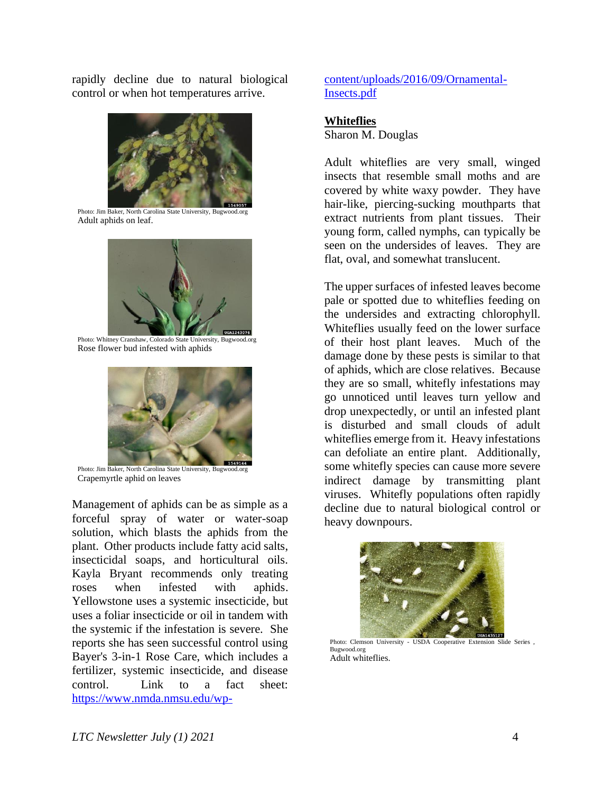rapidly decline due to natural biological control or when hot temperatures arrive.



Photo: Jim Baker, North Carolina State University, Bugwood.org Adult aphids on leaf.



Photo: Whitney Cranshaw, Colorado State University, Bugwood.org Rose flower bud infested with aphids



Photo: Jim Baker, North Carolina State University, Bugwood.org Crapemyrtle aphid on leaves

Management of aphids can be as simple as a forceful spray of water or water-soap solution, which blasts the aphids from the plant. Other products include fatty acid salts, insecticidal soaps, and horticultural oils. Kayla Bryant recommends only treating roses when infested with aphids. Yellowstone uses a systemic insecticide, but uses a foliar insecticide or oil in tandem with the systemic if the infestation is severe. She reports she has seen successful control using Bayer's 3-in-1 Rose Care, which includes a fertilizer, systemic insecticide, and disease control. Link to a fact sheet: [https://www.nmda.nmsu.edu/wp-](https://www.nmda.nmsu.edu/wp-content/uploads/2016/09/Ornamental-Insects.pdf) [content/uploads/2016/09/Ornamental-](https://www.nmda.nmsu.edu/wp-content/uploads/2016/09/Ornamental-Insects.pdf)[Insects.pdf](https://www.nmda.nmsu.edu/wp-content/uploads/2016/09/Ornamental-Insects.pdf)

#### **Whiteflies**

Sharon M. Douglas

Adult whiteflies are very small, winged insects that resemble small moths and are covered by white waxy powder. They have hair-like, piercing-sucking mouthparts that extract nutrients from plant tissues. Their young form, called nymphs, can typically be seen on the undersides of leaves. They are flat, oval, and somewhat translucent.

The upper surfaces of infested leaves become pale or spotted due to whiteflies feeding on the undersides and extracting chlorophyll. Whiteflies usually feed on the lower surface of their host plant leaves. Much of the damage done by these pests is similar to that of aphids, which are close relatives. Because they are so small, whitefly infestations may go unnoticed until leaves turn yellow and drop unexpectedly, or until an infested plant is disturbed and small clouds of adult whiteflies emerge from it. Heavy infestations can defoliate an entire plant. Additionally, some whitefly species can cause more severe indirect damage by transmitting plant viruses. Whitefly populations often rapidly decline due to natural biological control or heavy downpours.



Photo: Clemson University - USDA Cooperative Extension Slide Series Bugwood.org Adult whiteflies.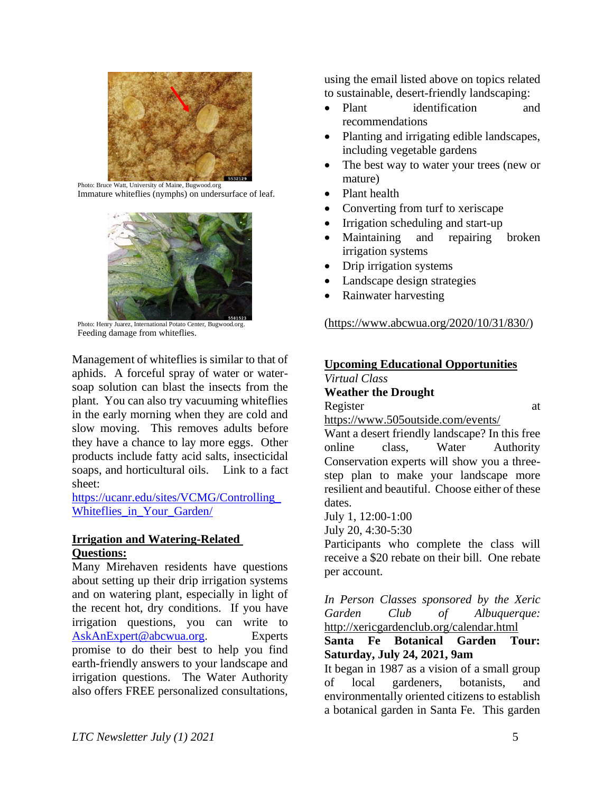

Photo: Bruce Watt, University of Maine, Bugwood.org Immature whiteflies (nymphs) on undersurface of leaf.



Photo: Henry Juarez, International Potato Center, Bugwood.org. Feeding damage from whiteflies.

Management of whiteflies is similar to that of aphids. A forceful spray of water or watersoap solution can blast the insects from the plant. You can also try vacuuming whiteflies in the early morning when they are cold and slow moving. This removes adults before they have a chance to lay more eggs. Other products include fatty acid salts, insecticidal soaps, and horticultural oils. Link to a fact sheet:

[https://ucanr.edu/sites/VCMG/Controlling\\_](https://ucanr.edu/sites/VCMG/Controlling_Whiteflies_in_Your_Garden/) Whiteflies in Your Garden/

#### **Irrigation and Watering-Related Questions:**

Many Mirehaven residents have questions about setting up their drip irrigation systems and on watering plant, especially in light of the recent hot, dry conditions. If you have irrigation questions, you can write to [AskAnExpert@abcwua.org.](mailto:AskAnExpert@abcwua.org) Experts promise to do their best to help you find earth-friendly answers to your landscape and irrigation questions. The Water Authority also offers FREE personalized consultations,

using the email listed above on topics related to sustainable, desert-friendly landscaping:

- Plant identification and recommendations
- Planting and irrigating edible landscapes, including vegetable gardens
- The best way to water your trees (new or mature)
- Plant health
- Converting from turf to xeriscape
- Irrigation scheduling and start-up
- Maintaining and repairing broken irrigation systems
- Drip irrigation systems
- Landscape design strategies
- Rainwater harvesting

#### [\(https://www.abcwua.org/2020/10/31/830/\)](https://www.abcwua.org/2020/10/31/830/)

# **Upcoming Educational Opportunities**

*Virtual Class*  **Weather the Drought**

Register at a state of  $\alpha$  at a state of  $\alpha$  at a state of  $\alpha$  at a state of  $\alpha$  at a state of  $\alpha$  at a state of  $\alpha$  at a state of  $\alpha$  at a state of  $\alpha$  at a state of  $\alpha$  at a state of  $\alpha$  at a state of  $\alpha$  at a

<https://www.505outside.com/events/>

Want a desert friendly landscape? In this free online class, Water Authority Conservation experts will show you a threestep plan to make your landscape more resilient and beautiful. Choose either of these dates.

July 1, 12:00-1:00

July 20, 4:30-5:30

Participants who complete the class will receive a \$20 rebate on their bill. One rebate per account.

*In Person Classes sponsored by the Xeric Garden Club of Albuquerque:* <http://xericgardenclub.org/calendar.html>

## **Santa Fe Botanical Garden Tour: Saturday, July 24, 2021, 9am**

It began in 1987 as a vision of a small group of local gardeners, botanists, and environmentally oriented citizens to establish a botanical garden in Santa Fe. This garden